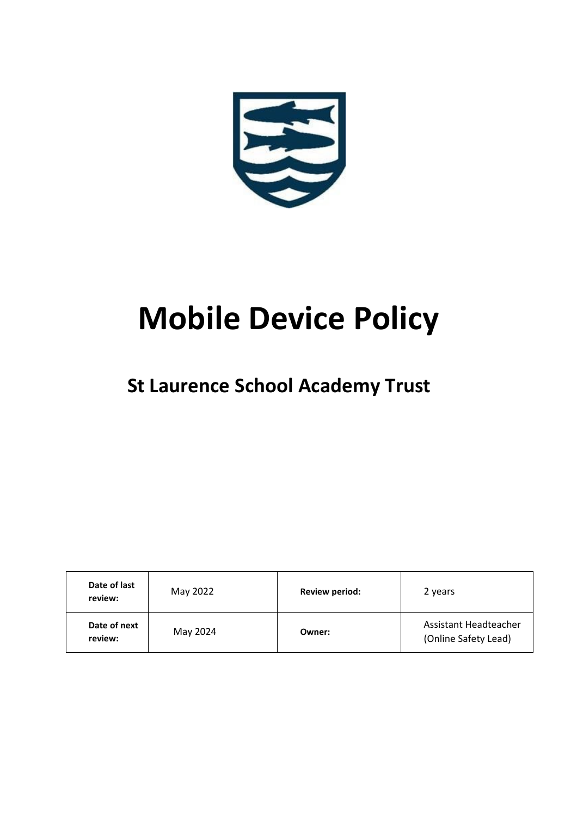

# **Mobile Device Policy**

# **St Laurence School Academy Trust**

| Date of last<br>review: | May 2022 | <b>Review period:</b> | 2 years                                       |
|-------------------------|----------|-----------------------|-----------------------------------------------|
| Date of next<br>review: | May 2024 | Owner:                | Assistant Headteacher<br>(Online Safety Lead) |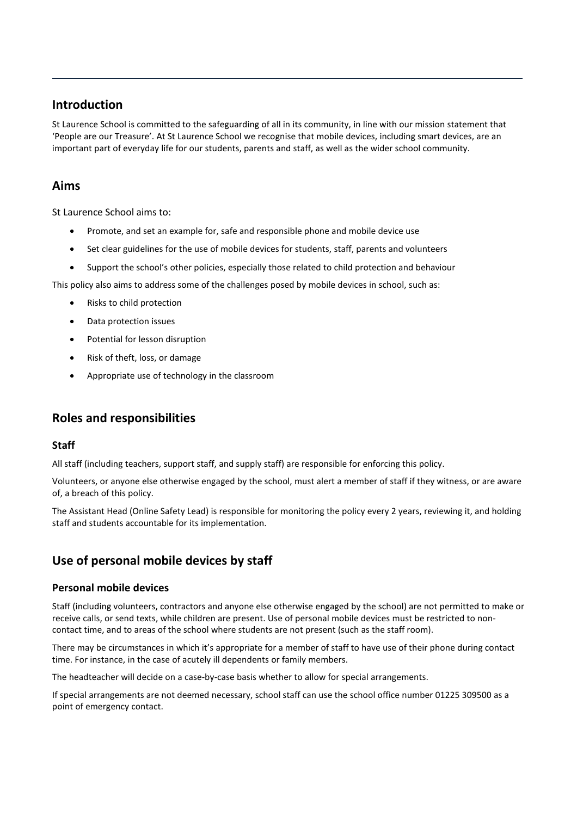# **Introduction**

St Laurence School is committed to the safeguarding of all in its community, in line with our mission statement that 'People are our Treasure'. At St Laurence School we recognise that mobile devices, including smart devices, are an important part of everyday life for our students, parents and staff, as well as the wider school community.

# **Aims**

St Laurence School aims to:

- Promote, and set an example for, safe and responsible phone and mobile device use
- Set clear guidelines for the use of mobile devices for students, staff, parents and volunteers
- Support the school's other policies, especially those related to child protection and behaviour

This policy also aims to address some of the challenges posed by mobile devices in school, such as:

- Risks to child protection
- Data protection issues
- Potential for lesson disruption
- Risk of theft, loss, or damage
- Appropriate use of technology in the classroom

# **Roles and responsibilities**

#### **Staff**

All staff (including teachers, support staff, and supply staff) are responsible for enforcing this policy.

Volunteers, or anyone else otherwise engaged by the school, must alert a member of staff if they witness, or are aware of, a breach of this policy.

The Assistant Head (Online Safety Lead) is responsible for monitoring the policy every 2 years, reviewing it, and holding staff and students accountable for its implementation.

# **Use of personal mobile devices by staff**

#### **Personal mobile devices**

Staff (including volunteers, contractors and anyone else otherwise engaged by the school) are not permitted to make or receive calls, or send texts, while children are present. Use of personal mobile devices must be restricted to noncontact time, and to areas of the school where students are not present (such as the staff room).

There may be circumstances in which it's appropriate for a member of staff to have use of their phone during contact time. For instance, in the case of acutely ill dependents or family members.

The headteacher will decide on a case-by-case basis whether to allow for special arrangements.

If special arrangements are not deemed necessary, school staff can use the school office number 01225 309500 as a point of emergency contact.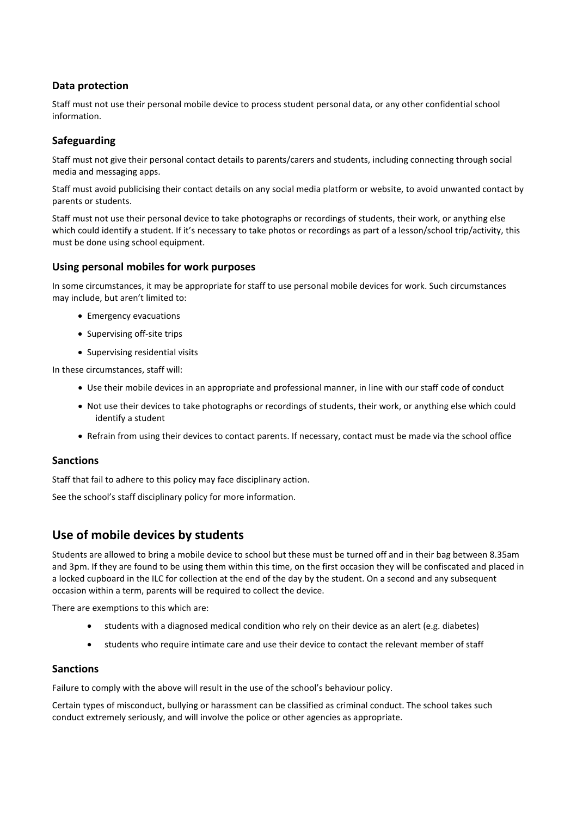#### **Data protection**

Staff must not use their personal mobile device to process student personal data, or any other confidential school information.

#### **Safeguarding**

Staff must not give their personal contact details to parents/carers and students, including connecting through social media and messaging apps.

Staff must avoid publicising their contact details on any social media platform or website, to avoid unwanted contact by parents or students.

Staff must not use their personal device to take photographs or recordings of students, their work, or anything else which could identify a student. If it's necessary to take photos or recordings as part of a lesson/school trip/activity, this must be done using school equipment.

#### **Using personal mobiles for work purposes**

In some circumstances, it may be appropriate for staff to use personal mobile devices for work. Such circumstances may include, but aren't limited to:

- Emergency evacuations
- Supervising off-site trips
- Supervising residential visits

In these circumstances, staff will:

- Use their mobile devices in an appropriate and professional manner, in line with our staff code of conduct
- Not use their devices to take photographs or recordings of students, their work, or anything else which could identify a student
- Refrain from using their devices to contact parents. If necessary, contact must be made via the school office

#### **Sanctions**

Staff that fail to adhere to this policy may face disciplinary action.

See the school's staff disciplinary policy for more information.

# **Use of mobile devices by students**

Students are allowed to bring a mobile device to school but these must be turned off and in their bag between 8.35am and 3pm. If they are found to be using them within this time, on the first occasion they will be confiscated and placed in a locked cupboard in the ILC for collection at the end of the day by the student. On a second and any subsequent occasion within a term, parents will be required to collect the device.

There are exemptions to this which are:

- students with a diagnosed medical condition who rely on their device as an alert (e.g. diabetes)
- students who require intimate care and use their device to contact the relevant member of staff

#### **Sanctions**

Failure to comply with the above will result in the use of the school's behaviour policy.

Certain types of misconduct, bullying or harassment can be classified as criminal conduct. The school takes such conduct extremely seriously, and will involve the police or other agencies as appropriate.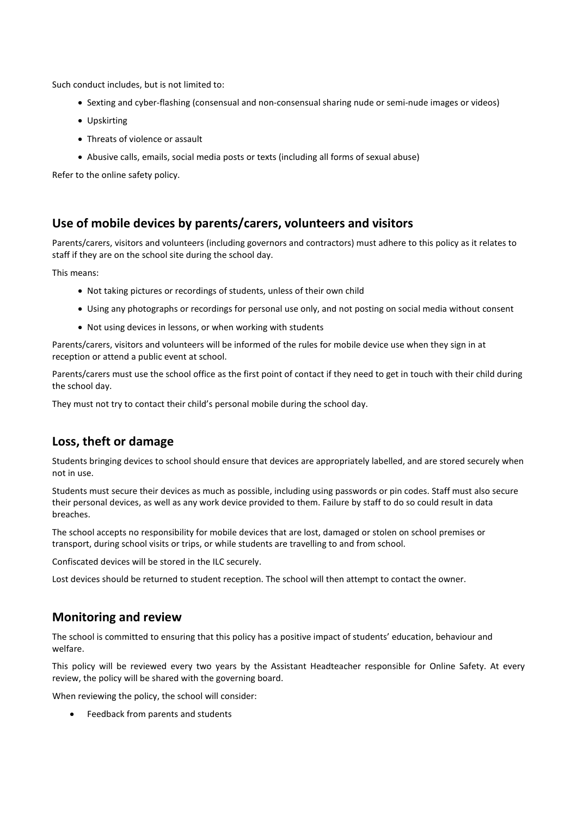Such conduct includes, but is not limited to:

- Sexting and cyber-flashing (consensual and non-consensual sharing nude or semi-nude images or videos)
- Upskirting
- Threats of violence or assault
- Abusive calls, emails, social media posts or texts (including all forms of sexual abuse)

Refer to the online safety policy.

# **Use of mobile devices by parents/carers, volunteers and visitors**

Parents/carers, visitors and volunteers (including governors and contractors) must adhere to this policy as it relates to staff if they are on the school site during the school day.

This means:

- Not taking pictures or recordings of students, unless of their own child
- Using any photographs or recordings for personal use only, and not posting on social media without consent
- Not using devices in lessons, or when working with students

Parents/carers, visitors and volunteers will be informed of the rules for mobile device use when they sign in at reception or attend a public event at school.

Parents/carers must use the school office as the first point of contact if they need to get in touch with their child during the school day.

They must not try to contact their child's personal mobile during the school day.

# **Loss, theft or damage**

Students bringing devices to school should ensure that devices are appropriately labelled, and are stored securely when not in use.

Students must secure their devices as much as possible, including using passwords or pin codes. Staff must also secure their personal devices, as well as any work device provided to them. Failure by staff to do so could result in data breaches.

The school accepts no responsibility for mobile devices that are lost, damaged or stolen on school premises or transport, during school visits or trips, or while students are travelling to and from school.

Confiscated devices will be stored in the ILC securely.

Lost devices should be returned to student reception. The school will then attempt to contact the owner.

#### **Monitoring and review**

The school is committed to ensuring that this policy has a positive impact of students' education, behaviour and welfare.

This policy will be reviewed every two years by the Assistant Headteacher responsible for Online Safety. At every review, the policy will be shared with the governing board.

When reviewing the policy, the school will consider:

Feedback from parents and students